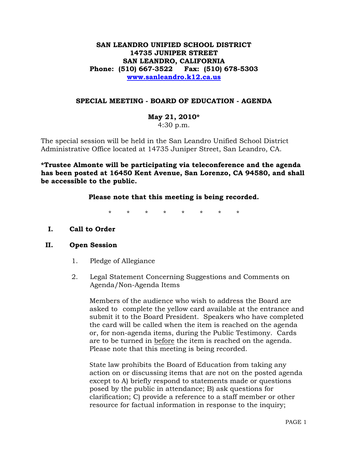# **SAN LEANDRO UNIFIED SCHOOL DISTRICT 14735 JUNIPER STREET SAN LEANDRO, CALIFORNIA Phone: (510) 667-3522 Fax: (510) 678-5303 [www.sanleandro.k12.ca.us](http://www.sanleandro.k12.ca.us/)**

## **SPECIAL MEETING - BOARD OF EDUCATION - AGENDA**

**May 21, 2010\***  4:30 p.m.

The special session will be held in the San Leandro Unified School District Administrative Office located at 14735 Juniper Street, San Leandro, CA.

**\*Trustee Almonte will be participating via teleconference and the agenda has been posted at 16450 Kent Avenue, San Lorenzo, CA 94580, and shall be accessible to the public.** 

## **Please note that this meeting is being recorded.**

\* \* \* \* \* \* \* \*

### **I. Call to Order**

### **II. Open Session**

- 1. Pledge of Allegiance
- 2. Legal Statement Concerning Suggestions and Comments on Agenda/Non-Agenda Items

 Members of the audience who wish to address the Board are asked to complete the yellow card available at the entrance and submit it to the Board President. Speakers who have completed the card will be called when the item is reached on the agenda or, for non-agenda items, during the Public Testimony. Cards are to be turned in before the item is reached on the agenda. Please note that this meeting is being recorded.

 State law prohibits the Board of Education from taking any action on or discussing items that are not on the posted agenda except to A) briefly respond to statements made or questions posed by the public in attendance; B) ask questions for clarification; C) provide a reference to a staff member or other resource for factual information in response to the inquiry;